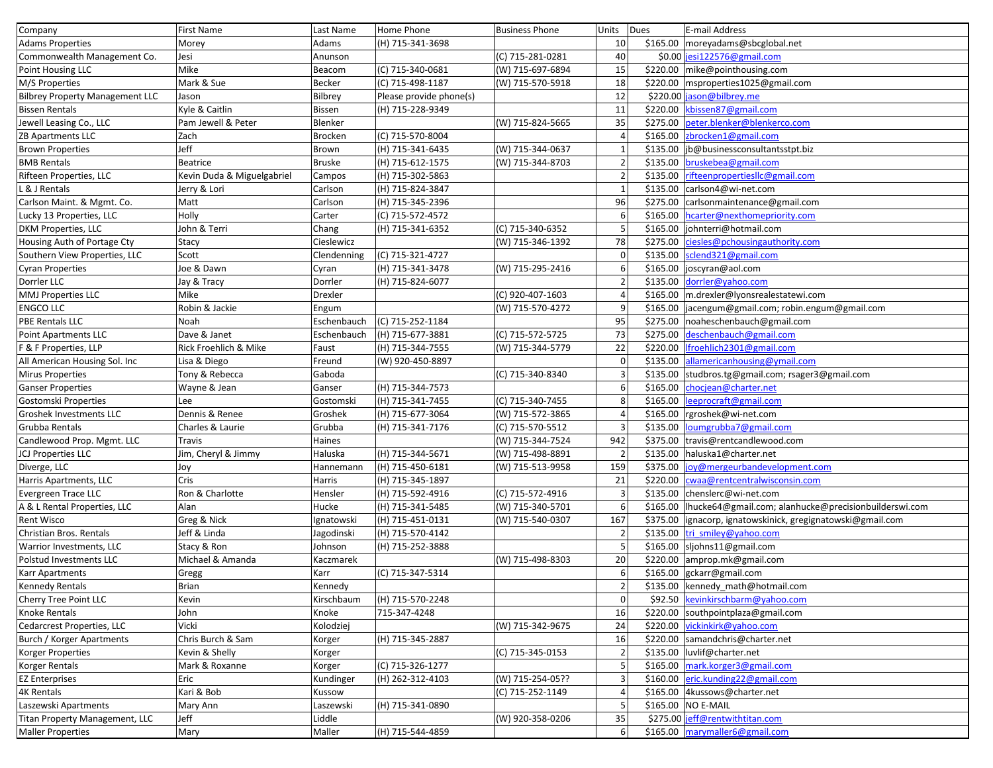| Company                                | First Name                 | Last Name      | Home Phone              | <b>Business Phone</b> | Units        | <b>Dues</b> | E-mail Address                                        |
|----------------------------------------|----------------------------|----------------|-------------------------|-----------------------|--------------|-------------|-------------------------------------------------------|
| <b>Adams Properties</b>                | Morey                      | Adams          | (H) 715-341-3698        |                       | 10           |             | \$165.00   moreyadams@sbcglobal.net                   |
| Commonwealth Management Co.            | Jesi                       | Anunson        |                         | (C) 715-281-0281      | 40           |             | \$0.00 jesi122576@gmail.com                           |
| Point Housing LLC                      | Mike                       | Beacom         | (C) 715-340-0681        | (W) 715-697-6894      | 15           |             | \$220.00 mike@pointhousing.com                        |
| M/S Properties                         | Mark & Sue                 | <b>Becker</b>  | (C) 715-498-1187        | (W) 715-570-5918      | 18           | \$220.00    | msproperties1025@gmail.com                            |
| <b>Bilbrey Property Management LLC</b> | Jason                      | Bilbrey        | Please provide phone(s) |                       | 12           |             | \$220.00 jason@bilbrey.me                             |
| <b>Bissen Rentals</b>                  | Kyle & Caitlin             | <b>Bissen</b>  | (H) 715-228-9349        |                       | 11           | \$220.00    | kbissen87@gmail.com                                   |
| Jewell Leasing Co., LLC                | Pam Jewell & Peter         | Blenker        |                         | (W) 715-824-5665      | 35           | \$275.00    | peter.blenker@blenkerco.com                           |
| ZB Apartments LLC                      | Zach                       | <b>Brocken</b> | (C) 715-570-8004        |                       | $\Delta$     | \$165.00    | zbrocken1@gmail.com                                   |
| <b>Brown Properties</b>                | Jeff                       | Brown          | (H) 715-341-6435        | (W) 715-344-0637      |              | \$135.00    | jb@businessconsultantsstpt.biz                        |
| <b>BMB Rentals</b>                     | <b>Beatrice</b>            | <b>Bruske</b>  | (H) 715-612-1575        | (W) 715-344-8703      | 2            | \$135.00    | bruskebea@gmail.com                                   |
| Rifteen Properties, LLC                | Kevin Duda & Miguelgabriel | Campos         | (H) 715-302-5863        |                       | 2            | \$135.00    | rifteenpropertiesllc@gmail.com                        |
| & J Rentals                            | Jerry & Lori               | Carlson        | (H) 715-824-3847        |                       | - 1          | \$135.00    | carlson4@wi-net.com                                   |
| Carlson Maint. & Mgmt. Co.             | Matt                       | Carlson        | (H) 715-345-2396        |                       | 96           | \$275.00    | carlsonmaintenance@gmail.com                          |
| Lucky 13 Properties, LLC               | Holly                      | Carter         | (C) 715-572-4572        |                       | 6            | \$165.00    | hcarter@nexthomepriority.com                          |
| <b>DKM Properties, LLC</b>             | John & Terri               | Chang          | (H) 715-341-6352        | (C) 715-340-6352      |              | \$165.00    | johnterri@hotmail.com                                 |
| Housing Auth of Portage Cty            | Stacy                      | Cieslewicz     |                         | (W) 715-346-1392      | 78           | \$275.00    | ciesles@pchousingauthority.com                        |
| Southern View Properties, LLC          | Scott                      | Clendenning    | (C) 715-321-4727        |                       | $\mathbf 0$  | \$135.00    | sclend321@gmail.com                                   |
| <b>Cyran Properties</b>                | Joe & Dawn                 | Cyran          | (H) 715-341-3478        | (W) 715-295-2416      |              | \$165.00    | joscyran@aol.com                                      |
| Dorrler LLC                            | Jay & Tracy                | Dorrler        | (H) 715-824-6077        |                       |              | \$135.00    | dorrler@yahoo.com                                     |
| <b>MMJ Properties LLC</b>              | Mike                       | Drexler        |                         | (C) 920-407-1603      |              | \$165.00    | m.drexler@lyonsrealestatewi.com                       |
| <b>ENGCO LLC</b>                       | Robin & Jackie             | Engum          |                         | (W) 715-570-4272      | 9            | \$165.00    | jacengum@gmail.com; robin.engum@gmail.com             |
| <b>PBE Rentals LLC</b>                 | Noah                       | Eschenbauch    | (C) 715-252-1184        |                       | 95           | \$275.00    | noaheschenbauch@gmail.com                             |
| <b>Point Apartments LLC</b>            | Dave & Janet               | Eschenbauch    | (H) 715-677-3881        | (C) 715-572-5725      | 73           | \$275.00    | deschenbauch@gmail.com                                |
| F & F Properties, LLP                  | Rick Froehlich & Mike      | Faust          | (H) 715-344-7555        | (W) 715-344-5779      | 22           | \$220.00    | Ifroehlich2301@gmail.com                              |
| All American Housing Sol. Inc          | Lisa & Diego               | Freund         | (W) 920-450-8897        |                       | $\mathbf 0$  | \$135.00    | allamericanhousing@ymail.com                          |
| <b>Mirus Properties</b>                | Tony & Rebecca             | Gaboda         |                         | (C) 715-340-8340      |              | \$135.00    | studbros.tg@gmail.com; rsager3@gmail.com              |
| <b>Ganser Properties</b>               | Wayne & Jean               | Ganser         | (H) 715-344-7573        |                       | -6           | \$165.00    | chocjean@charter.net                                  |
| Gostomski Properties                   | Lee                        | Gostomski      | (H) 715-341-7455        | (C) 715-340-7455      | 8            | \$165.00    | leeprocraft@gmail.com                                 |
| Groshek Investments LLC                | Dennis & Renee             | Groshek        | (H) 715-677-3064        | (W) 715-572-3865      |              | \$165.00    | rgroshek@wi-net.com                                   |
| Grubba Rentals                         | Charles & Laurie           | Grubba         | (H) 715-341-7176        | (C) 715-570-5512      |              | \$135.00    | loumgrubba7@gmail.com                                 |
| Candlewood Prop. Mgmt. LLC             | Travis                     | Haines         |                         | (W) 715-344-7524      | 942          | \$375.00    | travis@rentcandlewood.com                             |
| <b>JCJ Properties LLC</b>              | Jim, Cheryl & Jimmy        | Haluska        | (H) 715-344-5671        | (W) 715-498-8891      |              | \$135.00    | haluska1@charter.net                                  |
| Diverge, LLC                           | Joy                        | Hannemann      | (H) 715-450-6181        | (W) 715-513-9958      | 159          | \$375.00    | joy@mergeurbandevelopment.com                         |
| Harris Apartments, LLC                 | Cris                       | Harris         | (H) 715-345-1897        |                       | 21           | \$220.00    | cwaa@rentcentralwisconsin.com                         |
| Evergreen Trace LLC                    | Ron & Charlotte            | Hensler        | (H) 715-592-4916        | (C) 715-572-4916      | 3            |             | \$135.00 chenslerc@wi-net.com                         |
| A & L Rental Properties, LLC           | Alan                       | Hucke          | (H) 715-341-5485        | (W) 715-340-5701      | 6            | \$165.00    | Ihucke64@gmail.com; alanhucke@precisionbuilderswi.com |
| <b>Rent Wisco</b>                      | Greg & Nick                | Ignatowski     | (H) 715-451-0131        | (W) 715-540-0307      | 167          | \$375.00    | ignacorp, ignatowskinick, gregignatowski@gmail.com    |
| Christian Bros. Rentals                | Jeff & Linda               | Jagodinski     | (H) 715-570-4142        |                       |              | \$135.00    | tri smiley@yahoo.com                                  |
| Warrior Investments, LLC               | Stacy & Ron                | Johnson        | (H) 715-252-3888        |                       |              | \$165.00    | sljohns11@gmail.com                                   |
| Polstud Investments LLC                | Michael & Amanda           | Kaczmarek      |                         | (W) 715-498-8303      | 20           | \$220.00    | amprop.mk@gmail.com                                   |
| <b>Karr Apartments</b>                 | Gregg                      | Karr           | (C) 715-347-5314        |                       | 6            |             | \$165.00 gckarr@gmail.com                             |
| <b>Kennedy Rentals</b>                 | Brian                      | Kennedy        |                         |                       | $\mathbf{2}$ |             | \$135.00 kennedy_math@hotmail.com                     |
| Cherry Tree Point LLC                  | Kevin                      | Kirschbaum     | (H) 715-570-2248        |                       | $\Omega$     |             | \$92.50 kevinkirschbarm@yahoo.com                     |
| Knoke Rentals                          | John                       | Knoke          | 715-347-4248            |                       | 16           |             | \$220.00 southpointplaza@gmail.com                    |
| Cedarcrest Properties, LLC             | Vicki                      | Kolodziej      |                         | (W) 715-342-9675      | 24           |             | \$220.00 vickinkirk@yahoo.com                         |
| Burch / Korger Apartments              | Chris Burch & Sam          | Korger         | (H) 715-345-2887        |                       | 16           |             | \$220.00   samandchris@charter.net                    |
| Korger Properties                      | Kevin & Shelly             | Korger         |                         | (C) 715-345-0153      |              |             | \$135.00 luvlif@charter.net                           |
| Korger Rentals                         | Mark & Roxanne             | Korger         | (C) 715-326-1277        |                       |              |             | \$165.00 mark.korger3@gmail.com                       |
| <b>EZ Enterprises</b>                  | Eric                       | Kundinger      | (H) 262-312-4103        | (W) 715-254-05??      |              |             | \$160.00 $ $ eric.kunding22@gmail.com                 |
| <b>4K Rentals</b>                      | Kari & Bob                 | Kussow         |                         | (C) 715-252-1149      |              |             | \$165.00 4kussows@charter.net                         |
| Laszewski Apartments                   | Mary Ann                   | Laszewski      | (H) 715-341-0890        |                       |              |             | \$165.00 NO E-MAIL                                    |
| Titan Property Management, LLC         | Jeff                       | Liddle         |                         | (W) 920-358-0206      | 35           |             | \$275.00 jeff@rentwithtitan.com                       |
| <b>Maller Properties</b>               | Mary                       | Maller         | (H) 715-544-4859        |                       | 6            |             | \$165.00 marymaller6@gmail.com                        |
|                                        |                            |                |                         |                       |              |             |                                                       |